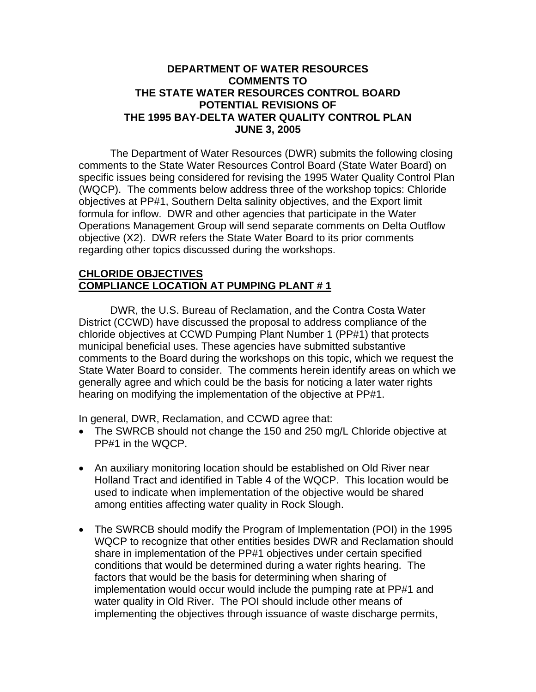## **DEPARTMENT OF WATER RESOURCES COMMENTS TO THE STATE WATER RESOURCES CONTROL BOARD POTENTIAL REVISIONS OF THE 1995 BAY-DELTA WATER QUALITY CONTROL PLAN JUNE 3, 2005**

 The Department of Water Resources (DWR) submits the following closing comments to the State Water Resources Control Board (State Water Board) on specific issues being considered for revising the 1995 Water Quality Control Plan (WQCP). The comments below address three of the workshop topics: Chloride objectives at PP#1, Southern Delta salinity objectives, and the Export limit formula for inflow. DWR and other agencies that participate in the Water Operations Management Group will send separate comments on Delta Outflow objective (X2). DWR refers the State Water Board to its prior comments regarding other topics discussed during the workshops.

## **CHLORIDE OBJECTIVES COMPLIANCE LOCATION AT PUMPING PLANT # 1**

 DWR, the U.S. Bureau of Reclamation, and the Contra Costa Water District (CCWD) have discussed the proposal to address compliance of the chloride objectives at CCWD Pumping Plant Number 1 (PP#1) that protects municipal beneficial uses. These agencies have submitted substantive comments to the Board during the workshops on this topic, which we request the State Water Board to consider. The comments herein identify areas on which we generally agree and which could be the basis for noticing a later water rights hearing on modifying the implementation of the objective at PP#1.

In general, DWR, Reclamation, and CCWD agree that:

- The SWRCB should not change the 150 and 250 mg/L Chloride objective at PP#1 in the WQCP.
- An auxiliary monitoring location should be established on Old River near Holland Tract and identified in Table 4 of the WQCP. This location would be used to indicate when implementation of the objective would be shared among entities affecting water quality in Rock Slough.
- The SWRCB should modify the Program of Implementation (POI) in the 1995 WQCP to recognize that other entities besides DWR and Reclamation should share in implementation of the PP#1 objectives under certain specified conditions that would be determined during a water rights hearing. The factors that would be the basis for determining when sharing of implementation would occur would include the pumping rate at PP#1 and water quality in Old River. The POI should include other means of implementing the objectives through issuance of waste discharge permits,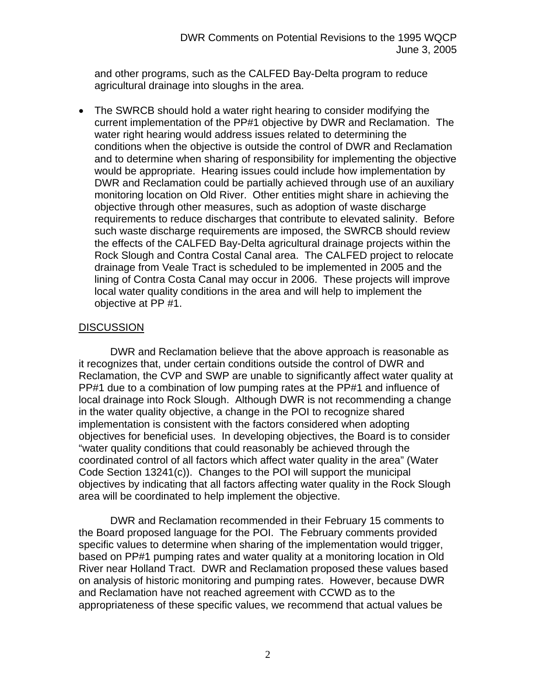and other programs, such as the CALFED Bay-Delta program to reduce agricultural drainage into sloughs in the area.

• The SWRCB should hold a water right hearing to consider modifying the current implementation of the PP#1 objective by DWR and Reclamation. The water right hearing would address issues related to determining the conditions when the objective is outside the control of DWR and Reclamation and to determine when sharing of responsibility for implementing the objective would be appropriate. Hearing issues could include how implementation by DWR and Reclamation could be partially achieved through use of an auxiliary monitoring location on Old River. Other entities might share in achieving the objective through other measures, such as adoption of waste discharge requirements to reduce discharges that contribute to elevated salinity. Before such waste discharge requirements are imposed, the SWRCB should review the effects of the CALFED Bay-Delta agricultural drainage projects within the Rock Slough and Contra Costal Canal area. The CALFED project to relocate drainage from Veale Tract is scheduled to be implemented in 2005 and the lining of Contra Costa Canal may occur in 2006. These projects will improve local water quality conditions in the area and will help to implement the objective at PP #1.

## **DISCUSSION**

 DWR and Reclamation believe that the above approach is reasonable as it recognizes that, under certain conditions outside the control of DWR and Reclamation, the CVP and SWP are unable to significantly affect water quality at PP#1 due to a combination of low pumping rates at the PP#1 and influence of local drainage into Rock Slough. Although DWR is not recommending a change in the water quality objective, a change in the POI to recognize shared implementation is consistent with the factors considered when adopting objectives for beneficial uses. In developing objectives, the Board is to consider "water quality conditions that could reasonably be achieved through the coordinated control of all factors which affect water quality in the area" (Water Code Section 13241(c)). Changes to the POI will support the municipal objectives by indicating that all factors affecting water quality in the Rock Slough area will be coordinated to help implement the objective.

 DWR and Reclamation recommended in their February 15 comments to the Board proposed language for the POI. The February comments provided specific values to determine when sharing of the implementation would trigger, based on PP#1 pumping rates and water quality at a monitoring location in Old River near Holland Tract. DWR and Reclamation proposed these values based on analysis of historic monitoring and pumping rates. However, because DWR and Reclamation have not reached agreement with CCWD as to the appropriateness of these specific values, we recommend that actual values be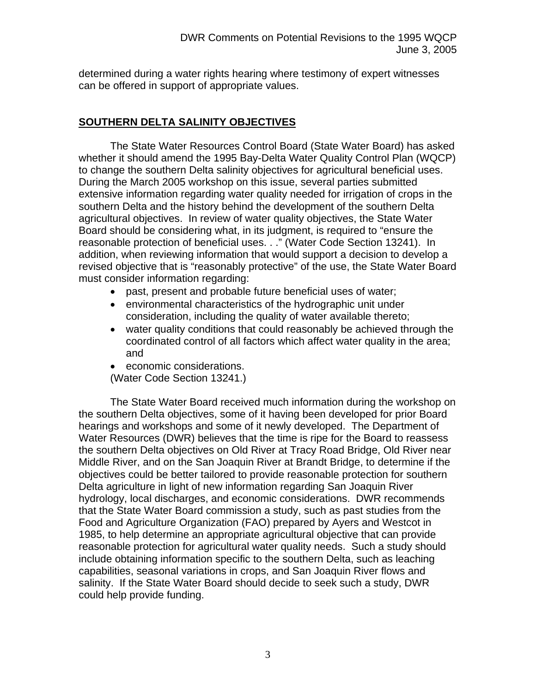determined during a water rights hearing where testimony of expert witnesses can be offered in support of appropriate values.

# **SOUTHERN DELTA SALINITY OBJECTIVES**

The State Water Resources Control Board (State Water Board) has asked whether it should amend the 1995 Bay-Delta Water Quality Control Plan (WQCP) to change the southern Delta salinity objectives for agricultural beneficial uses. During the March 2005 workshop on this issue, several parties submitted extensive information regarding water quality needed for irrigation of crops in the southern Delta and the history behind the development of the southern Delta agricultural objectives. In review of water quality objectives, the State Water Board should be considering what, in its judgment, is required to "ensure the reasonable protection of beneficial uses. . ." (Water Code Section 13241). In addition, when reviewing information that would support a decision to develop a revised objective that is "reasonably protective" of the use, the State Water Board must consider information regarding:

- past, present and probable future beneficial uses of water;
- environmental characteristics of the hydrographic unit under consideration, including the quality of water available thereto;
- water quality conditions that could reasonably be achieved through the coordinated control of all factors which affect water quality in the area; and
- economic considerations.
- (Water Code Section 13241.)

The State Water Board received much information during the workshop on the southern Delta objectives, some of it having been developed for prior Board hearings and workshops and some of it newly developed. The Department of Water Resources (DWR) believes that the time is ripe for the Board to reassess the southern Delta objectives on Old River at Tracy Road Bridge, Old River near Middle River, and on the San Joaquin River at Brandt Bridge, to determine if the objectives could be better tailored to provide reasonable protection for southern Delta agriculture in light of new information regarding San Joaquin River hydrology, local discharges, and economic considerations. DWR recommends that the State Water Board commission a study, such as past studies from the Food and Agriculture Organization (FAO) prepared by Ayers and Westcot in 1985, to help determine an appropriate agricultural objective that can provide reasonable protection for agricultural water quality needs. Such a study should include obtaining information specific to the southern Delta, such as leaching capabilities, seasonal variations in crops, and San Joaquin River flows and salinity. If the State Water Board should decide to seek such a study, DWR could help provide funding.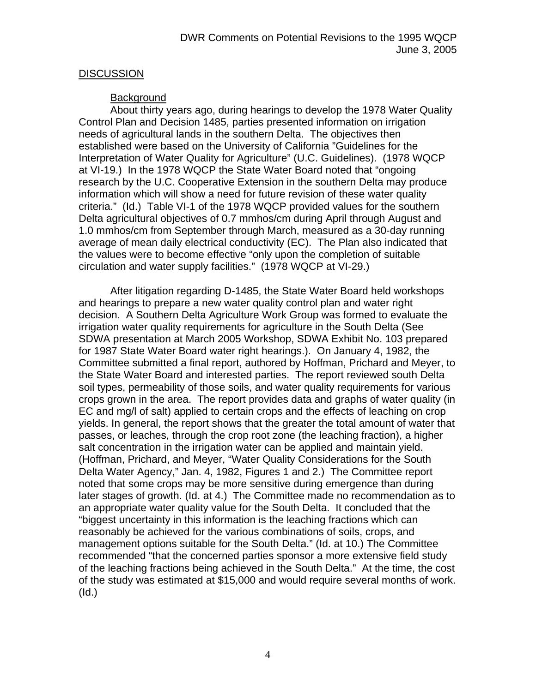## **DISCUSSION**

## **Background**

About thirty years ago, during hearings to develop the 1978 Water Quality Control Plan and Decision 1485, parties presented information on irrigation needs of agricultural lands in the southern Delta. The objectives then established were based on the University of California "Guidelines for the Interpretation of Water Quality for Agriculture" (U.C. Guidelines). (1978 WQCP at VI-19.) In the 1978 WQCP the State Water Board noted that "ongoing research by the U.C. Cooperative Extension in the southern Delta may produce information which will show a need for future revision of these water quality criteria." (Id.) Table VI-1 of the 1978 WQCP provided values for the southern Delta agricultural objectives of 0.7 mmhos/cm during April through August and 1.0 mmhos/cm from September through March, measured as a 30-day running average of mean daily electrical conductivity (EC). The Plan also indicated that the values were to become effective "only upon the completion of suitable circulation and water supply facilities." (1978 WQCP at VI-29.)

After litigation regarding D-1485, the State Water Board held workshops and hearings to prepare a new water quality control plan and water right decision. A Southern Delta Agriculture Work Group was formed to evaluate the irrigation water quality requirements for agriculture in the South Delta (See SDWA presentation at March 2005 Workshop, SDWA Exhibit No. 103 prepared for 1987 State Water Board water right hearings.). On January 4, 1982, the Committee submitted a final report, authored by Hoffman, Prichard and Meyer, to the State Water Board and interested parties. The report reviewed south Delta soil types, permeability of those soils, and water quality requirements for various crops grown in the area. The report provides data and graphs of water quality (in EC and mg/l of salt) applied to certain crops and the effects of leaching on crop yields. In general, the report shows that the greater the total amount of water that passes, or leaches, through the crop root zone (the leaching fraction), a higher salt concentration in the irrigation water can be applied and maintain yield. (Hoffman, Prichard, and Meyer, "Water Quality Considerations for the South Delta Water Agency," Jan. 4, 1982, Figures 1 and 2.) The Committee report noted that some crops may be more sensitive during emergence than during later stages of growth. (Id. at 4.) The Committee made no recommendation as to an appropriate water quality value for the South Delta. It concluded that the "biggest uncertainty in this information is the leaching fractions which can reasonably be achieved for the various combinations of soils, crops, and management options suitable for the South Delta." (Id. at 10.) The Committee recommended "that the concerned parties sponsor a more extensive field study of the leaching fractions being achieved in the South Delta." At the time, the cost of the study was estimated at \$15,000 and would require several months of work. (Id.)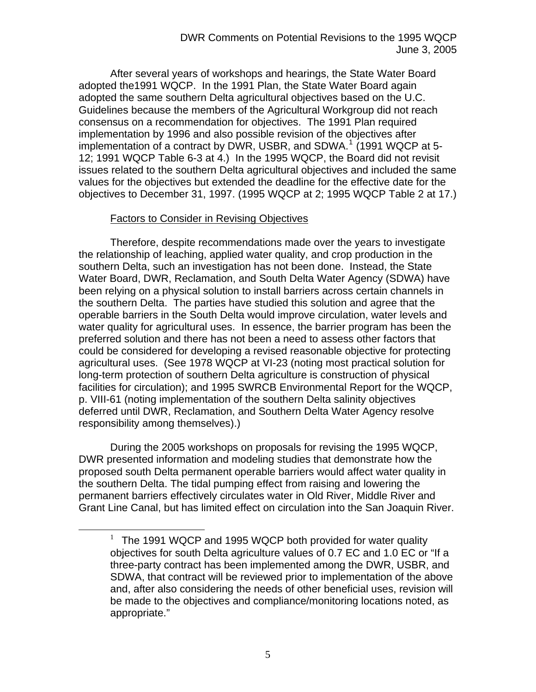After several years of workshops and hearings, the State Water Board adopted the1991 WQCP. In the 1991 Plan, the State Water Board again adopted the same southern Delta agricultural objectives based on the U.C. Guidelines because the members of the Agricultural Workgroup did not reach consensus on a recommendation for objectives. The 1991 Plan required implementation by 1996 and also possible revision of the objectives after implementation of a contract by DWR, USBR, and SDWA.<sup>[1](#page-4-0)</sup> (1991 WQCP at 5-12; 1991 WQCP Table 6-3 at 4.) In the 1995 WQCP, the Board did not revisit issues related to the southern Delta agricultural objectives and included the same values for the objectives but extended the deadline for the effective date for the objectives to December 31, 1997. (1995 WQCP at 2; 1995 WQCP Table 2 at 17.)

#### Factors to Consider in Revising Objectives

Therefore, despite recommendations made over the years to investigate the relationship of leaching, applied water quality, and crop production in the southern Delta, such an investigation has not been done. Instead, the State Water Board, DWR, Reclamation, and South Delta Water Agency (SDWA) have been relying on a physical solution to install barriers across certain channels in the southern Delta. The parties have studied this solution and agree that the operable barriers in the South Delta would improve circulation, water levels and water quality for agricultural uses. In essence, the barrier program has been the preferred solution and there has not been a need to assess other factors that could be considered for developing a revised reasonable objective for protecting agricultural uses. (See 1978 WQCP at VI-23 (noting most practical solution for long-term protection of southern Delta agriculture is construction of physical facilities for circulation); and 1995 SWRCB Environmental Report for the WQCP, p. VIII-61 (noting implementation of the southern Delta salinity objectives deferred until DWR, Reclamation, and Southern Delta Water Agency resolve responsibility among themselves).)

During the 2005 workshops on proposals for revising the 1995 WQCP, DWR presented information and modeling studies that demonstrate how the proposed south Delta permanent operable barriers would affect water quality in the southern Delta. The tidal pumping effect from raising and lowering the permanent barriers effectively circulates water in Old River, Middle River and Grant Line Canal, but has limited effect on circulation into the San Joaquin River.

<span id="page-4-0"></span><sup>&</sup>lt;u>1</u>  $1$  The 1991 WQCP and 1995 WQCP both provided for water quality objectives for south Delta agriculture values of 0.7 EC and 1.0 EC or "If a three-party contract has been implemented among the DWR, USBR, and SDWA, that contract will be reviewed prior to implementation of the above and, after also considering the needs of other beneficial uses, revision will be made to the objectives and compliance/monitoring locations noted, as appropriate."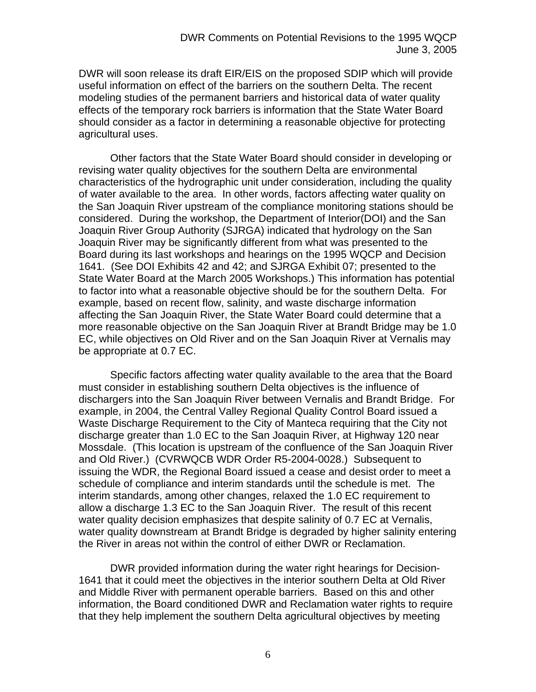DWR will soon release its draft EIR/EIS on the proposed SDIP which will provide useful information on effect of the barriers on the southern Delta. The recent modeling studies of the permanent barriers and historical data of water quality effects of the temporary rock barriers is information that the State Water Board should consider as a factor in determining a reasonable objective for protecting agricultural uses.

Other factors that the State Water Board should consider in developing or revising water quality objectives for the southern Delta are environmental characteristics of the hydrographic unit under consideration, including the quality of water available to the area. In other words, factors affecting water quality on the San Joaquin River upstream of the compliance monitoring stations should be considered. During the workshop, the Department of Interior(DOI) and the San Joaquin River Group Authority (SJRGA) indicated that hydrology on the San Joaquin River may be significantly different from what was presented to the Board during its last workshops and hearings on the 1995 WQCP and Decision 1641. (See DOI Exhibits 42 and 42; and SJRGA Exhibit 07; presented to the State Water Board at the March 2005 Workshops.) This information has potential to factor into what a reasonable objective should be for the southern Delta. For example, based on recent flow, salinity, and waste discharge information affecting the San Joaquin River, the State Water Board could determine that a more reasonable objective on the San Joaquin River at Brandt Bridge may be 1.0 EC, while objectives on Old River and on the San Joaquin River at Vernalis may be appropriate at 0.7 EC.

Specific factors affecting water quality available to the area that the Board must consider in establishing southern Delta objectives is the influence of dischargers into the San Joaquin River between Vernalis and Brandt Bridge. For example, in 2004, the Central Valley Regional Quality Control Board issued a Waste Discharge Requirement to the City of Manteca requiring that the City not discharge greater than 1.0 EC to the San Joaquin River, at Highway 120 near Mossdale. (This location is upstream of the confluence of the San Joaquin River and Old River.) (CVRWQCB WDR Order R5-2004-0028.) Subsequent to issuing the WDR, the Regional Board issued a cease and desist order to meet a schedule of compliance and interim standards until the schedule is met. The interim standards, among other changes, relaxed the 1.0 EC requirement to allow a discharge 1.3 EC to the San Joaquin River. The result of this recent water quality decision emphasizes that despite salinity of 0.7 EC at Vernalis, water quality downstream at Brandt Bridge is degraded by higher salinity entering the River in areas not within the control of either DWR or Reclamation.

DWR provided information during the water right hearings for Decision-1641 that it could meet the objectives in the interior southern Delta at Old River and Middle River with permanent operable barriers. Based on this and other information, the Board conditioned DWR and Reclamation water rights to require that they help implement the southern Delta agricultural objectives by meeting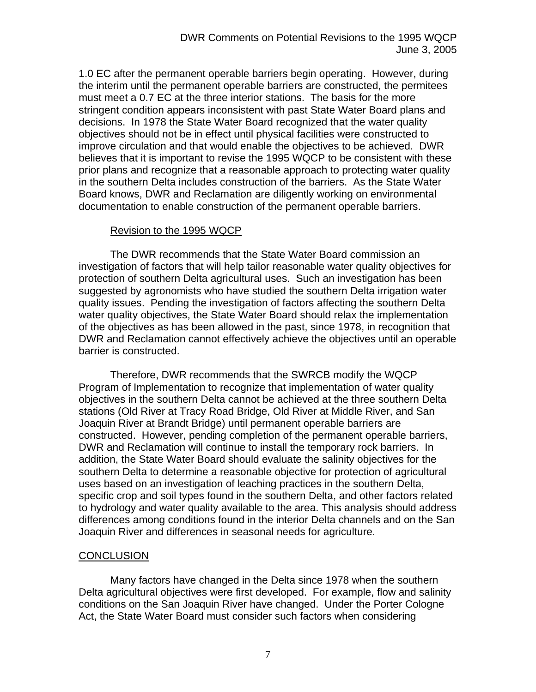1.0 EC after the permanent operable barriers begin operating. However, during the interim until the permanent operable barriers are constructed, the permitees must meet a 0.7 EC at the three interior stations. The basis for the more stringent condition appears inconsistent with past State Water Board plans and decisions. In 1978 the State Water Board recognized that the water quality objectives should not be in effect until physical facilities were constructed to improve circulation and that would enable the objectives to be achieved. DWR believes that it is important to revise the 1995 WQCP to be consistent with these prior plans and recognize that a reasonable approach to protecting water quality in the southern Delta includes construction of the barriers. As the State Water Board knows, DWR and Reclamation are diligently working on environmental documentation to enable construction of the permanent operable barriers.

## Revision to the 1995 WQCP

 The DWR recommends that the State Water Board commission an investigation of factors that will help tailor reasonable water quality objectives for protection of southern Delta agricultural uses. Such an investigation has been suggested by agronomists who have studied the southern Delta irrigation water quality issues. Pending the investigation of factors affecting the southern Delta water quality objectives, the State Water Board should relax the implementation of the objectives as has been allowed in the past, since 1978, in recognition that DWR and Reclamation cannot effectively achieve the objectives until an operable barrier is constructed.

Therefore, DWR recommends that the SWRCB modify the WQCP Program of Implementation to recognize that implementation of water quality objectives in the southern Delta cannot be achieved at the three southern Delta stations (Old River at Tracy Road Bridge, Old River at Middle River, and San Joaquin River at Brandt Bridge) until permanent operable barriers are constructed. However, pending completion of the permanent operable barriers, DWR and Reclamation will continue to install the temporary rock barriers. In addition, the State Water Board should evaluate the salinity objectives for the southern Delta to determine a reasonable objective for protection of agricultural uses based on an investigation of leaching practices in the southern Delta, specific crop and soil types found in the southern Delta, and other factors related to hydrology and water quality available to the area. This analysis should address differences among conditions found in the interior Delta channels and on the San Joaquin River and differences in seasonal needs for agriculture.

## **CONCLUSION**

Many factors have changed in the Delta since 1978 when the southern Delta agricultural objectives were first developed. For example, flow and salinity conditions on the San Joaquin River have changed. Under the Porter Cologne Act, the State Water Board must consider such factors when considering